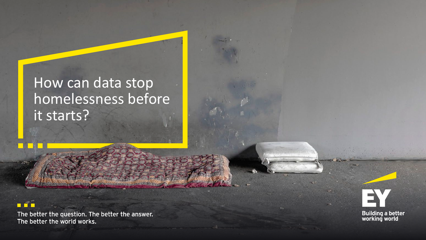## How can data stop homelessness before it starts?

**WIND AND THE COUNTRY** 

## $\Box$

The better the question. The better the answer. The better the world works.

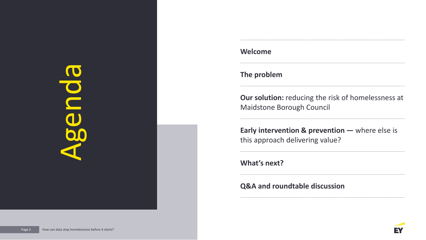

## **Welcome**

**The problem** 

**Our solution:** reducing the risk of homelessness at Maidstone Borough Council

**Early intervention & prevention —** where else is this approach delivering value?

## **What's next?**

### **Q&A and roundtable discussion**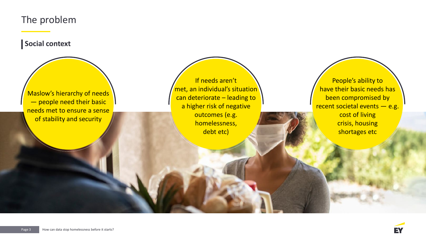## The problem

**Social context**

Maslow's hierarchy of needs — people need their basic needs met to ensure a sense of stability and security

If needs aren't met, an individual's situation can deteriorate – leading to a higher risk of negative outcomes (e.g. homelessness, debt etc)

People's ability to have their basic needs has been compromised by recent societal events - e.g. cost of living crisis, housing shortages etc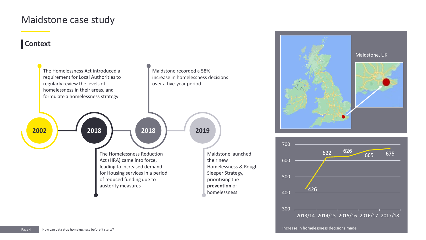## Maidstone case study

## **Context**







Increase in homelessness decisions made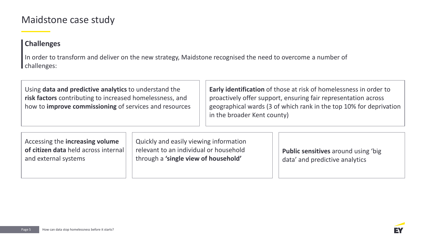## Maidstone case study

## **Challenges**

In order to transform and deliver on the new strategy, Maidstone recognised the need to overcome a number of challenges:

Using **data and predictive analytics** to understand the **risk factors** contributing to increased homelessness, and how to **improve commissioning** of services and resources

**Early identification** of those at risk of homelessness in order to proactively offer support, ensuring fair representation across geographical wards (3 of which rank in the top 10% for deprivation in the broader Kent county)

Accessing the **increasing volume of citizen data** held across internal and external systems

Quickly and easily viewing information relevant to an individual or household through a **'single view of household'**

**Public sensitives** around using 'big data' and predictive analytics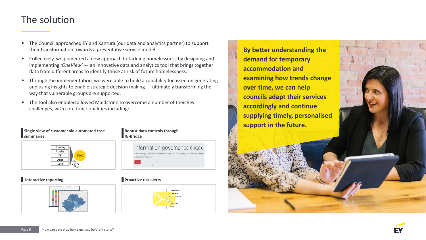## The solution

• The Council approached EY and Xantura (our data and analytics partner) to support their transformation towards a preventative service model.

- Collectively, we pioneered a new approach to tackling homelessness by designing and implementing *'OneView'* — an innovative data and analytics tool that brings together data from different areas to identify those at risk of future homelessness.
- Through the implementation, we were able to build a capability focussed on generating and using insights to enable strategic decision making — ultimately transforming the way that vulnerable groups are supported.
- The tool also enabled allowed Maidstone to overcome a number of their key challenges, with core functionalities including:

#### **Single view of customer via automated case summaries**



#### **Interactive reporting Transformation Controllering Proactive risk alerts**



#### **Robust data controls through IG-Bridge**





**By better understanding the demand for temporary accommodation and examining how trends change over time, we can help councils adapt their services accordingly and continue supplying timely, personalised support in the future.**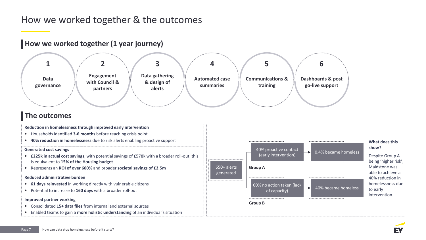## How we worked together & the outcomes

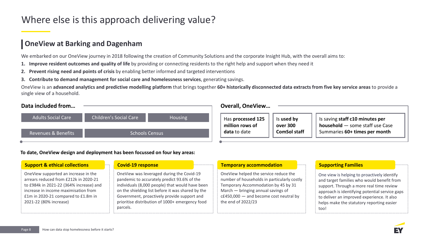## Where else is this approach delivering value?

## **OneView at Barking and Dagenham**

We embarked on our OneView journey in 2018 following the creation of Community Solutions and the corporate Insight Hub, with the overall aims to:

- **1. Improve resident outcomes and quality of life** by providing or connecting residents to the right help and support when they need it
- **2. Prevent rising need and points of crisis** by enabling better informed and targeted interventions
- **3. Contribute to demand management for social care and homelessness services**, generating savings.

OneView is an **advanced analytics and predictive modelling platform** that brings together **60+ historically disconnected data extracts from five key service areas** to provide a single view of a household.

| Data included from             |                               |                | <b>Overall, OneView</b>              |                        |                                                                    |
|--------------------------------|-------------------------------|----------------|--------------------------------------|------------------------|--------------------------------------------------------------------|
| <b>Adults Social Care</b>      | <b>Children's Social Care</b> | <b>Housing</b> | Has processed 125<br>million rows of | Is used by<br>over 300 | Is saving staff c10 minutes per<br>household - some staff use Case |
| <b>Revenues &amp; Benefits</b> | <b>Schools Census</b>         |                | data to date                         | <b>ComSol staff</b>    | Summaries 60+ times per month                                      |

#### **To date, OneView design and deployment has been focussed on four key areas:**

| <b>Support &amp; ethical collections</b>                                                                                                                                                                                          | <b>Covid-19 response</b>                                                                                                                                                                                                                                                                                       | <b>Temporary accommodation</b>                                                                                                                                                                                                        | <b>Supporting Families</b>                                                                                                                                                                                                                                                                 |
|-----------------------------------------------------------------------------------------------------------------------------------------------------------------------------------------------------------------------------------|----------------------------------------------------------------------------------------------------------------------------------------------------------------------------------------------------------------------------------------------------------------------------------------------------------------|---------------------------------------------------------------------------------------------------------------------------------------------------------------------------------------------------------------------------------------|--------------------------------------------------------------------------------------------------------------------------------------------------------------------------------------------------------------------------------------------------------------------------------------------|
| OneView supported an increase in the<br>arrears reduced from £212k in 2020-21<br>to £984k in 2021-22 (364% increase) and<br>increase in income maximisation from<br>£1m in 2020-21 compared to £1.8m in<br>2021-22 (80% increase) | OneView was leveraged during the Covid-19<br>pandemic to accurately predict 93.6% of the<br>individuals (8,000 people) that would have been<br>on the shielding list before it was shared by the<br>Government, proactively provide support and<br>prioritise distribution of 1000+ emergency food<br>parcels. | OneView helped the service reduce the<br>number of households in particularly costly<br>Temporary Accommodation by 45 by 31<br>March $-$ bringing annual savings of<br>$cE450,000$ - and become cost neutral by<br>the end of 2022/23 | One view is helping to proactively identify<br>and target families who would benefit from<br>support. Through a more real time review<br>approach is identifying potential service gaps<br>to deliver an improved experience. It also<br>helps make the statutory reporting easier<br>too! |

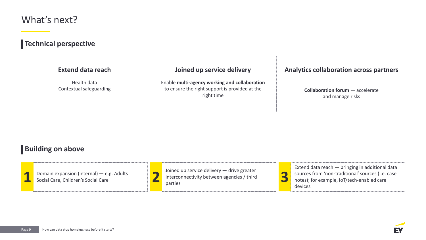## What's next?

## **Technical perspective**

| <b>Extend data reach</b>               | Joined up service delivery                                                                                    | <b>Analytics collaboration across partners</b>              |
|----------------------------------------|---------------------------------------------------------------------------------------------------------------|-------------------------------------------------------------|
| Health data<br>Contextual safeguarding | Enable multi-agency working and collaboration<br>to ensure the right support is provided at the<br>right time | <b>Collaboration forum</b> - accelerate<br>and manage risks |

## **Building on above**

**1** Domain expansion (internal) — e.g. Adults Social Care, Children's Social Care

Joined up service delivery — drive greater **2** interconnectivity between agencies / third parties



Extend data reach — bringing in additional data sources from 'non-traditional' sources (i.e. case notes); for example, IoT/tech-enabled care devices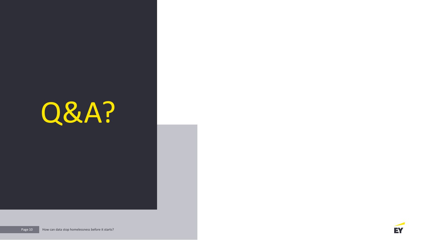# Q&A? Q&A?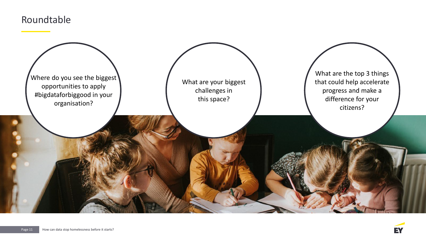## Roundtable